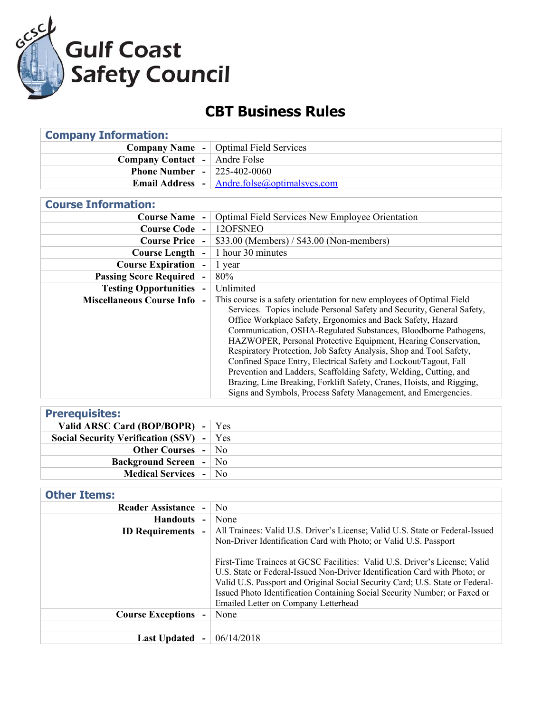

## **CBT Business Rules**

| <b>Company Information:</b>        |                                                                                                                                                  |  |
|------------------------------------|--------------------------------------------------------------------------------------------------------------------------------------------------|--|
| <b>Company Name -</b>              | <b>Optimal Field Services</b>                                                                                                                    |  |
| <b>Company Contact -</b>           | Andre Folse                                                                                                                                      |  |
| <b>Phone Number -</b>              | 225-402-0060                                                                                                                                     |  |
| <b>Email Address</b>               | Andre.folse@optimalsvcs.com                                                                                                                      |  |
|                                    |                                                                                                                                                  |  |
| <b>Course Information:</b>         |                                                                                                                                                  |  |
| <b>Course Name -</b>               | <b>Optimal Field Services New Employee Orientation</b>                                                                                           |  |
| <b>Course Code -</b>               | 12OFSNEO                                                                                                                                         |  |
| <b>Course Price -</b>              | \$33.00 (Members) / \$43.00 (Non-members)                                                                                                        |  |
| <b>Course Length -</b>             | 1 hour 30 minutes                                                                                                                                |  |
| <b>Course Expiration -</b>         | 1 year                                                                                                                                           |  |
| <b>Passing Score Required</b>      | 80%                                                                                                                                              |  |
| <b>Testing Opportunities -</b>     | Unlimited                                                                                                                                        |  |
| <b>Miscellaneous Course Info -</b> | This course is a safety orientation for new employees of Optimal Field<br>Services. Topics include Personal Safety and Security, General Safety, |  |
|                                    | Office Workplace Safety, Ergonomics and Back Safety, Hazard                                                                                      |  |
|                                    | Communication, OSHA-Regulated Substances, Bloodborne Pathogens,                                                                                  |  |
|                                    | HAZWOPER, Personal Protective Equipment, Hearing Conservation,                                                                                   |  |
|                                    | Respiratory Protection, Job Safety Analysis, Shop and Tool Safety,                                                                               |  |
|                                    | Confined Space Entry, Electrical Safety and Lockout/Tagout, Fall                                                                                 |  |
|                                    | Prevention and Ladders, Scaffolding Safety, Welding, Cutting, and                                                                                |  |
|                                    | Brazing, Line Breaking, Forklift Safety, Cranes, Hoists, and Rigging,                                                                            |  |
|                                    | Signs and Symbols, Process Safety Management, and Emergencies.                                                                                   |  |

| <b>Prerequisites:</b>                      |  |
|--------------------------------------------|--|
| Valid ARSC Card (BOP/BOPR) - $\forall$ es  |  |
| Social Security Verification (SSV) $-$ Yes |  |
| <b>Other Courses - No</b>                  |  |
| <b>Background Screen</b> - No              |  |
| <b>Medical Services</b> - No               |  |

## **Other Items:**

| <b>Reader Assistance</b> | N <sub>0</sub>                                                                                                                                                                                                                                                                                                                                                  |
|--------------------------|-----------------------------------------------------------------------------------------------------------------------------------------------------------------------------------------------------------------------------------------------------------------------------------------------------------------------------------------------------------------|
| <b>Handouts</b>          | None                                                                                                                                                                                                                                                                                                                                                            |
| <b>ID Requirements</b>   | All Trainees: Valid U.S. Driver's License; Valid U.S. State or Federal-Issued<br>Non-Driver Identification Card with Photo; or Valid U.S. Passport                                                                                                                                                                                                              |
|                          | First-Time Trainees at GCSC Facilities: Valid U.S. Driver's License; Valid<br>U.S. State or Federal-Issued Non-Driver Identification Card with Photo; or<br>Valid U.S. Passport and Original Social Security Card; U.S. State or Federal-<br>Issued Photo Identification Containing Social Security Number; or Faxed or<br>Emailed Letter on Company Letterhead |
| <b>Course Exceptions</b> | None                                                                                                                                                                                                                                                                                                                                                            |
|                          |                                                                                                                                                                                                                                                                                                                                                                 |
| <b>Last Updated</b>      | 06/14/2018                                                                                                                                                                                                                                                                                                                                                      |